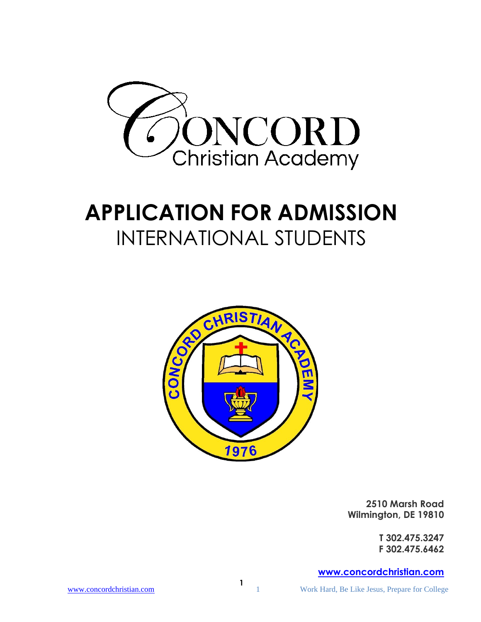

# **APPLICATION FOR ADMISSION** INTERNATIONAL STUDENTS



**2510 Marsh Road Wilmington, DE 19810**

> **T 302.475.3247 F 302.475.6462**

### **[www.concordchristian.com](http://www.concordchristian.com/)**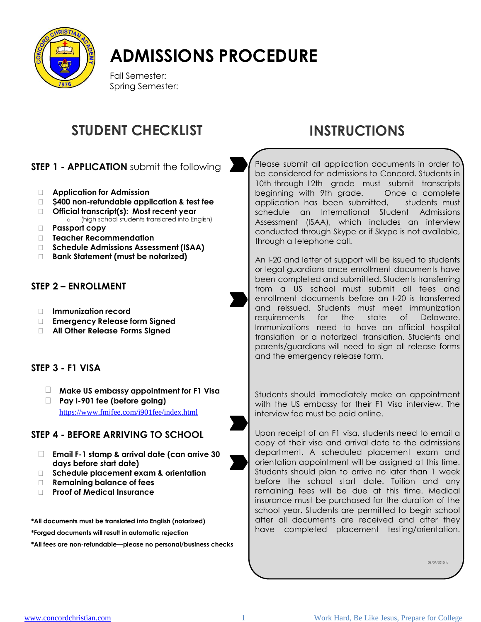

# **ADMISSIONS PROCEDURE**

Fall Semester: Spring Semester:

## **STUDENT CHECKLIST INSTRUCTIONS**

**STEP 1 - APPLICATION** submit the following

- **Application for Admission**
- **\$400 non-refundable application & test fee**
- **Official transcript(s): Most recent year** o (high school students translated into English)
- **Passport copy**
- **Teacher Recommendation**
- **Schedule Admissions Assessment (ISAA)**
- **Bank Statement (must be notarized)**

### **STEP 2 – ENROLLMENT**

- **Immunization record**
- **Emergency Release form Signed**
- **All Other Release Forms Signed**

### **STEP 3 - F1 VISA**

- **Make US embassy appointment for F1 Visa <sup>3</sup>**
- **Pay I-901 fee (before going)** <https://www.fmjfee.com/i901fee/index.html>

### **STEP 4 - BEFORE ARRIVING TO SCHOOL**

- **Email F-1 stamp & arrival date (can arrive 30 days before start date)**
- **Schedule placement exam & orientation**
- **Remaining balance of fees**
- **Proof of Medical Insurance**

**\*All documents must be translated into English (notarized)**

**\*Forged documents will result in automatic rejection**

**\*All fees are non-refundable—please no personal/business checks**

Please submit all application documents in order to be considered for admissions to Concord. Students in 10th through 12th grade must submit transcripts beginning with 9th grade. Once a complete application has been submitted, students must schedule an International Student Admissions Assessment (ISAA), which includes an interview conducted through Skype or if Skype is not available, through a telephone call.

An I-20 and letter of support will be issued to students or legal guardians once enrollment documents have been completed and submitted. Students transferring from a US school must submit all fees and enrollment documents before an I-20 is transferred and reissued. Students must meet immunization requirements for the state of Delaware. Immunizations need to have an official hospital translation or a notarized translation. Students and parents/guardians will need to sign all release forms and the emergency release form.

Students should immediately make an appointment with the US embassy for their F1 Visa interview. The interview fee must be paid online.

Upon receipt of an F1 visa, students need to email a copy of their visa and arrival date to the admissions department. A scheduled placement exam and orientation appointment will be assigned at this time. Students should plan to arrive no later than 1 week before the school start date. Tuition and any remaining fees will be due at this time. Medical insurance must be purchased for the duration of the school year. Students are permitted to begin school after all documents are received and after they have completed placement testing/orientation.

08/07/2015 tk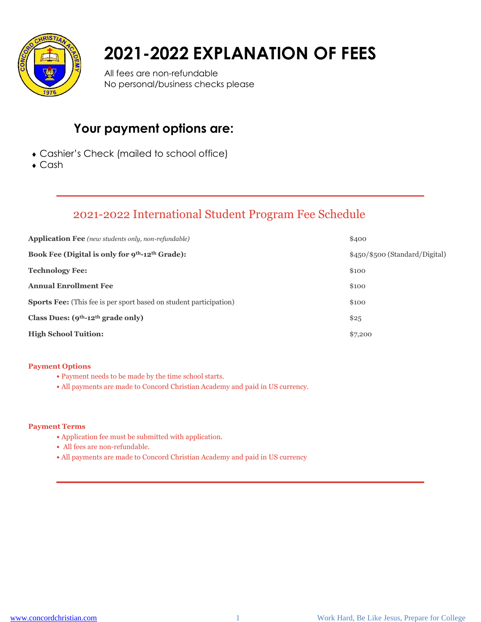

# **2021-2022 EXPLANATION OF FEES**

All fees are non-refundable No personal/business checks please

### **Your payment options are:**

- Cashier's Check (mailed to school office)
- ◆ Cash

### 2021-2022 International Student Program Fee Schedule

| <b>Application Fee</b> (new students only, non-refundable)                | \$400                          |
|---------------------------------------------------------------------------|--------------------------------|
| Book Fee (Digital is only for 9 <sup>th</sup> -12 <sup>th</sup> Grade):   | \$450/\$500 (Standard/Digital) |
| <b>Technology Fee:</b>                                                    | \$100                          |
| <b>Annual Enrollment Fee</b>                                              | \$100                          |
| <b>Sports Fee:</b> (This fee is per sport based on student participation) | \$100                          |
| Class Dues: $(9th-12th \text{ grade only})$                               | \$25                           |
| <b>High School Tuition:</b>                                               | \$7,200                        |

#### **Payment Options**

- Payment needs to be made by the time school starts.
- **•** All payments are made to Concord Christian Academy and paid in US currency.

#### **Payment Terms**

- Application fee must be submitted with application.
- **•** All fees are non-refundable.
- **•** All payments are made to Concord Christian Academy and paid in US currency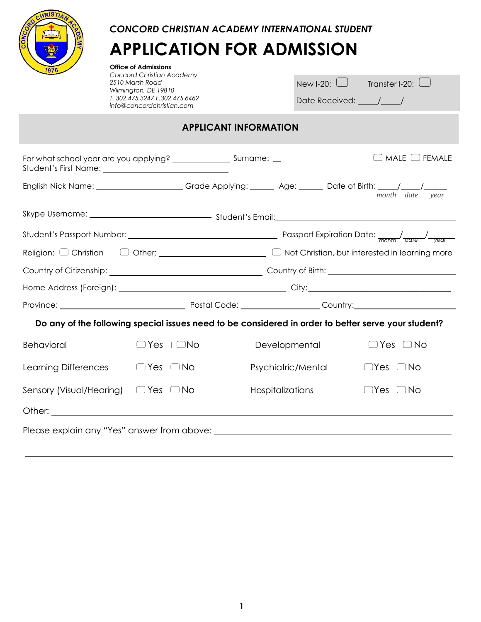

*CONCORD CHRISTIAN ACADEMY INTERNATIONAL STUDENT*

# **APPLICATION FOR ADMISSION**

**Office of Admissions** *Concord Christian Academy 2510 Marsh Road Wilmington, DE 19810 T. 302.475.3247 F.302.475.6462 info@concordchristian.com*

| New I-20: $\Box$ | Transfer I-20: $\frac{1}{2}$ |  |
|------------------|------------------------------|--|
| Date Received:   |                              |  |

### **APPLICANT INFORMATION**

|                          |                             |                    | English Nick Name: ____________________Grade Applying: _______ Age: ______ Date of Birth: ____/____/______<br>month date year |  |
|--------------------------|-----------------------------|--------------------|-------------------------------------------------------------------------------------------------------------------------------|--|
|                          |                             |                    |                                                                                                                               |  |
|                          |                             |                    |                                                                                                                               |  |
|                          |                             |                    |                                                                                                                               |  |
|                          |                             |                    |                                                                                                                               |  |
|                          |                             |                    |                                                                                                                               |  |
|                          |                             |                    |                                                                                                                               |  |
|                          |                             |                    | Do any of the following special issues need to be considered in order to better serve your student?                           |  |
| <b>Behavioral</b>        | $\Box$ Yes $\Box$ $\Box$ No | Developmental      | $\Box$ Yes $\Box$ No                                                                                                          |  |
| Learning Differences     | $\Box$ Yes $\Box$ No        | Psychiatric/Mental | $\Box$ Yes $\Box$ No                                                                                                          |  |
| Sensory (Visual/Hearing) | $\Box$ Yes $\Box$ No        | Hospitalizations   | $\Box$ Yes $\Box$ No                                                                                                          |  |
|                          |                             |                    |                                                                                                                               |  |
|                          |                             |                    |                                                                                                                               |  |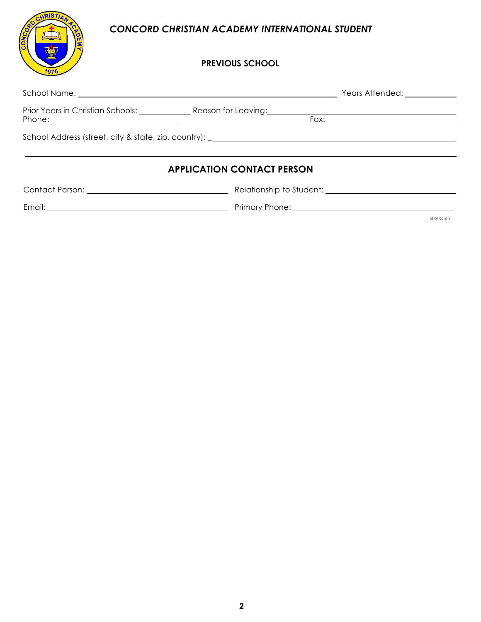### *CONCORD CHRISTIAN ACADEMY INTERNATIONAL STUDENT*

CHRISTIA

1976

**NO2** 

### **PREVIOUS SCHOOL**

| <b>APPLICATION CONTACT PERSON</b> |                                                               |
|-----------------------------------|---------------------------------------------------------------|
|                                   | Contact Person: Network and Security Relationship to Student: |
|                                   |                                                               |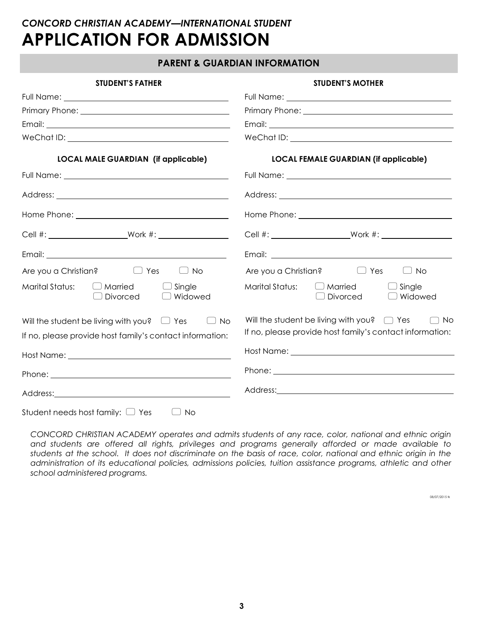#### **PARENT & GUARDIAN INFORMATION**

| <b>STUDENT'S FATHER</b>                                                          | <b>STUDENT'S MOTHER</b>                                                                                                                                                                                                              |  |  |
|----------------------------------------------------------------------------------|--------------------------------------------------------------------------------------------------------------------------------------------------------------------------------------------------------------------------------------|--|--|
|                                                                                  |                                                                                                                                                                                                                                      |  |  |
|                                                                                  | Primary Phone: <u>manual and primary phone:</u>                                                                                                                                                                                      |  |  |
|                                                                                  |                                                                                                                                                                                                                                      |  |  |
|                                                                                  |                                                                                                                                                                                                                                      |  |  |
| <b>LOCAL MALE GUARDIAN (if applicable)</b>                                       | <b>LOCAL FEMALE GUARDIAN (if applicable)</b>                                                                                                                                                                                         |  |  |
|                                                                                  |                                                                                                                                                                                                                                      |  |  |
|                                                                                  |                                                                                                                                                                                                                                      |  |  |
|                                                                                  |                                                                                                                                                                                                                                      |  |  |
|                                                                                  |                                                                                                                                                                                                                                      |  |  |
|                                                                                  |                                                                                                                                                                                                                                      |  |  |
| Are you a Christian? $\Box$ Yes<br>$\Box$ No                                     | Are you a Christian? $\Box$ Yes<br>$\Box$ No                                                                                                                                                                                         |  |  |
| Marital Status:<br>$\Box$ Married<br>$\Box$ Single<br><b>Divorced</b><br>Widowed | Marital Status:<br>$\Box$ Married<br>$\Box$ Single<br>Divorced<br>$\Box$ Widowed                                                                                                                                                     |  |  |
| Will the student be living with you? $\Box$ Yes<br>$\Box$ No                     | Will the student be living with you? $\Box$ Yes<br>$\Box$ No                                                                                                                                                                         |  |  |
| If no, please provide host family's contact information:                         | If no, please provide host family's contact information:                                                                                                                                                                             |  |  |
|                                                                                  | Host Name: <u>Name: Name School and School and School and School and School and School and School and School and School and School and School and School and School and School and School and School and School and School and S</u> |  |  |
|                                                                                  |                                                                                                                                                                                                                                      |  |  |
|                                                                                  | Address: Note and the second contract of the second contract of the second contract of the second contract of the second contract of the second contract of the second contract of the second contract of the second contract        |  |  |
| Student needs host family: $\Box$ Yes<br><b>No</b>                               |                                                                                                                                                                                                                                      |  |  |

*CONCORD CHRISTIAN ACADEMY operates and admits students of any race, color, national and ethnic origin and students are offered all rights, privileges and programs generally afforded or made available to* students at the school. It does not discriminate on the basis of race, color, national and ethnic origin in the *administration of its educational policies, admissions policies, tuition assistance programs, athletic and other school administered programs.*

08/07/2015 tk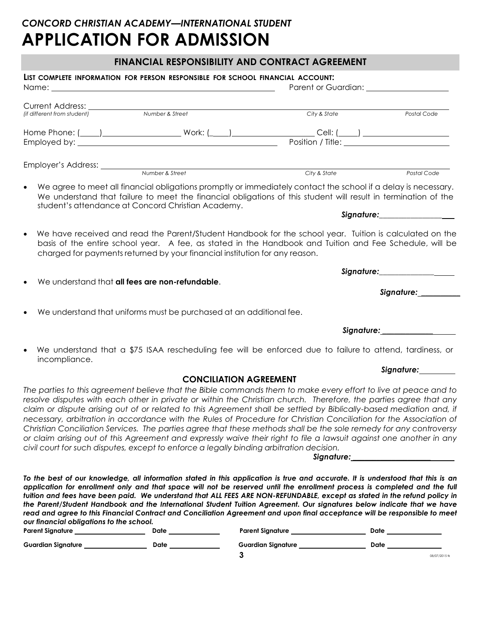### **FINANCIAL RESPONSIBILITY AND CONTRACT AGREEMENT**

| LIST COMPLETE INFORMATION FOR PERSON RESPONSIBLE FOR SCHOOL FINANCIAL ACCOUNT.           |                                                                             |                                                                                                                                                                                                                                                                                                                                                                                                                                                                                                                                                                                                                                                                                                                                |                               |
|------------------------------------------------------------------------------------------|-----------------------------------------------------------------------------|--------------------------------------------------------------------------------------------------------------------------------------------------------------------------------------------------------------------------------------------------------------------------------------------------------------------------------------------------------------------------------------------------------------------------------------------------------------------------------------------------------------------------------------------------------------------------------------------------------------------------------------------------------------------------------------------------------------------------------|-------------------------------|
| Current Address:<br>fif different from student) Number & Street                          |                                                                             |                                                                                                                                                                                                                                                                                                                                                                                                                                                                                                                                                                                                                                                                                                                                |                               |
|                                                                                          |                                                                             | City & State                                                                                                                                                                                                                                                                                                                                                                                                                                                                                                                                                                                                                                                                                                                   | Postal Code                   |
|                                                                                          |                                                                             |                                                                                                                                                                                                                                                                                                                                                                                                                                                                                                                                                                                                                                                                                                                                |                               |
|                                                                                          |                                                                             |                                                                                                                                                                                                                                                                                                                                                                                                                                                                                                                                                                                                                                                                                                                                |                               |
| Employer's Address: Number & Street                                                      |                                                                             | City & State                                                                                                                                                                                                                                                                                                                                                                                                                                                                                                                                                                                                                                                                                                                   | Postal Code                   |
| $\bullet$                                                                                | student's attendance at Concord Christian Academy.                          | We agree to meet all financial obligations promptly or immediately contact the school if a delay is necessary.<br>We understand that failure to meet the financial obligations of this student will result in termination of the                                                                                                                                                                                                                                                                                                                                                                                                                                                                                               |                               |
|                                                                                          |                                                                             |                                                                                                                                                                                                                                                                                                                                                                                                                                                                                                                                                                                                                                                                                                                                | Signature:___________________ |
| $\bullet$                                                                                | charged for payments returned by your financial institution for any reason. | We have received and read the Parent/Student Handbook for the school year. Tuition is calculated on the<br>basis of the entire school year. A fee, as stated in the Handbook and Tuition and Fee Schedule, will be                                                                                                                                                                                                                                                                                                                                                                                                                                                                                                             |                               |
|                                                                                          |                                                                             |                                                                                                                                                                                                                                                                                                                                                                                                                                                                                                                                                                                                                                                                                                                                |                               |
| We understand that all fees are non-refundable.                                          |                                                                             |                                                                                                                                                                                                                                                                                                                                                                                                                                                                                                                                                                                                                                                                                                                                | Signature: __________         |
|                                                                                          |                                                                             |                                                                                                                                                                                                                                                                                                                                                                                                                                                                                                                                                                                                                                                                                                                                |                               |
|                                                                                          | We understand that uniforms must be purchased at an additional fee.         |                                                                                                                                                                                                                                                                                                                                                                                                                                                                                                                                                                                                                                                                                                                                |                               |
|                                                                                          |                                                                             |                                                                                                                                                                                                                                                                                                                                                                                                                                                                                                                                                                                                                                                                                                                                | Signature:___________________ |
| $\bullet$<br>incompliance.                                                               |                                                                             | We understand that a \$75 ISAA rescheduling fee will be enforced due to failure to attend, tardiness, or                                                                                                                                                                                                                                                                                                                                                                                                                                                                                                                                                                                                                       |                               |
|                                                                                          |                                                                             |                                                                                                                                                                                                                                                                                                                                                                                                                                                                                                                                                                                                                                                                                                                                | Signature: 1988               |
| civil court for such disputes, except to enforce a legally binding arbitration decision. | <b>CONCILIATION AGREEMENT</b>                                               | The parties to this agreement believe that the Bible commands them to make every effort to live at peace and to<br>resolve disputes with each other in private or within the Christian church. Therefore, the parties agree that any<br>claim or dispute arising out of or related to this Agreement shall be settled by Biblically-based mediation and, if<br>necessary, arbitration in accordance with the Rules of Procedure for Christian Conciliation for the Association of<br>Christian Conciliation Services. The parties agree that these methods shall be the sole remedy for any controversy<br>or claim arising out of this Agreement and expressly waive their right to file a lawsuit against one another in any |                               |
| our financial obligations to the school.                                                 |                                                                             | To the best of our knowledge, all information stated in this application is true and accurate. It is understood that this is an<br>application for enrollment only and that space will not be reserved until the enrollment process is completed and the full<br>tuition and fees have been paid. We understand that ALL FEES ARE NON-REFUNDABLE, except as stated in the refund policy in<br>the Parent/Student Handbook and the International Student Tuition Agreement. Our signatures below indicate that we have<br>read and agree to this Financial Contract and Conciliation Agreement and upon final acceptance will be responsible to meet                                                                            |                               |

| <b>Parent Signature</b>   | Date | <b>Parent Signature</b>   | Date |               |
|---------------------------|------|---------------------------|------|---------------|
| <b>Guardian Signature</b> | Date | <b>Guardian Signature</b> | Date |               |
|                           |      |                           |      | 08/07/2015 fk |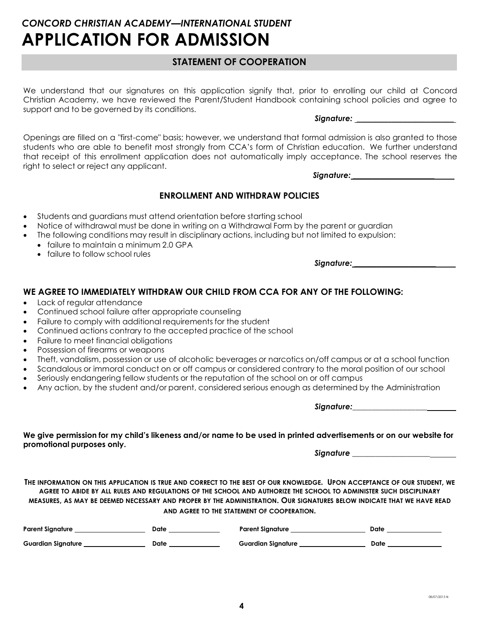### **STATEMENT OF COOPERATION**

We understand that our signatures on this application signify that, prior to enrolling our child at Concord Christian Academy, we have reviewed the Parent/Student Handbook containing school policies and agree to support and to be governed by its conditions.

*Signature: \_\_\_\_\_\_\_\_\_\_\_\_\_\_\_\_\_\_\_\_\_\_\_\_\_*

Openings are filled on a "first-come" basis; however, we understand that formal admission is also granted to those students who are able to benefit most strongly from CCA's form of Christian education. We further understand that receipt of this enrollment application does not automatically imply acceptance. The school reserves the right to select or reject any applicant.

*Signature: \_\_\_\_\_\_\_\_\_\_\_\_\_\_\_\_\_\_\_\_\_*

### **ENROLLMENT AND WITHDRAW POLICIES**

- Students and guardians must attend orientation before starting school
- Notice of withdrawal must be done in writing on a Withdrawal Form by the parent or guardian
- The following conditions may result in disciplinary actions, including but not limited to expulsion:
	- failure to maintain a minimum 2.0 GPA
		- failure to follow school rules

*Signature: \_\_\_\_\_\_\_\_\_\_\_\_\_\_\_\_\_\_\_\_\_*

### **WE AGREE TO IMMEDIATELY WITHDRAW OUR CHILD FROM CCA FOR ANY OF THE FOLLOWING:**

- Lack of regular attendance
- Continued school failure after appropriate counseling
- Failure to comply with additional requirements for the student
- Continued actions contrary to the accepted practice of the school
- Failure to meet financial obligations
- Possession of firearms or weapons
- Theft, vandalism, possession or use of alcoholic beverages or narcotics on/off campus or at a school function
- Scandalous or immoral conduct on or off campus or considered contrary to the moral position of our school
- Seriously endangering fellow students or the reputation of the school on or off campus
- Any action, by the student and/or parent, considered serious enough as determined by the Administration

*Signature:\_\_\_\_\_\_\_\_\_\_\_\_\_\_\_\_\_\_\_*

We give permission for my child's likeness and/or name to be used in printed advertisements or on our website for **promotional purposes only.**

*Signature \_\_\_\_\_\_\_\_\_\_\_\_\_\_\_\_\_\_\_\_*

THE INFORMATION ON THIS APPLICATION IS TRUE AND CORRECT TO THE BEST OF OUR KNOWLEDGE. UPON ACCEPTANCE OF OUR STUDENT, WE AGREE TO ABIDE BY ALL RULES AND REGULATIONS OF THE SCHOOL AND AUTHORIZE THE SCHOOL TO ADMINISTER SUCH DISCIPLINARY MEASURES, AS MAY BE DEEMED NECESSARY AND PROPER BY THE ADMINISTRATION. OUR SIGNATURES BELOW INDICATE THAT WE HAVE READ **AND AGREE TO THE STATEMENT OF COOPERATION.**

| <b>Parent Signature</b>   | Date | <b>Parent Signature</b>   | Date |
|---------------------------|------|---------------------------|------|
| <b>Guardian Signature</b> | Date | <b>Guardian Signature</b> | Date |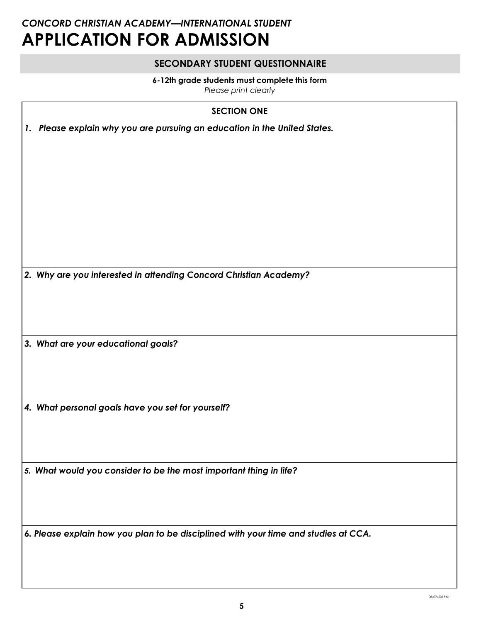### **SECONDARY STUDENT QUESTIONNAIRE**

#### **6-12th grade students must complete this form**

*Please print clearly*

### **SECTION ONE**

| 1. Please explain why you are pursuing an education in the United States. |
|---------------------------------------------------------------------------|
|---------------------------------------------------------------------------|

*2. Why are you interested in attending Concord Christian Academy?*

*3. What are your educational goals?*

*4. What personal goals have you set for yourself?*

*5. What would you consider to be the most important thing in life?*

*6. Please explain how you plan to be disciplined with your time and studies at CCA.*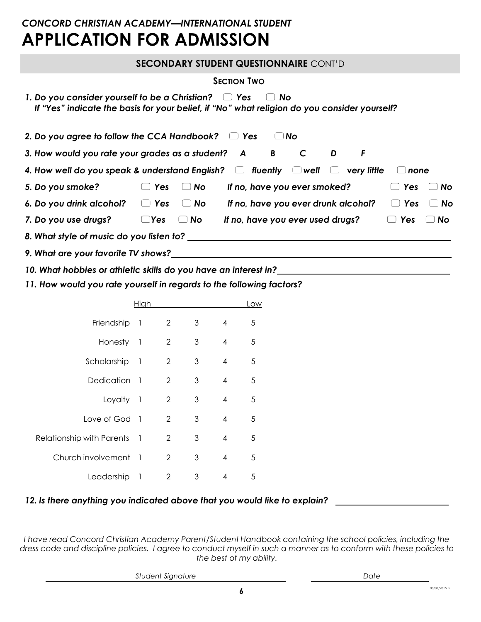|                                                                                                                                                           |                                                                           | <b>SECONDARY STUDENT QUESTIONNAIRE CONT'D</b> |   |   |            |           |
|-----------------------------------------------------------------------------------------------------------------------------------------------------------|---------------------------------------------------------------------------|-----------------------------------------------|---|---|------------|-----------|
|                                                                                                                                                           |                                                                           | <b>SECTION TWO</b>                            |   |   |            |           |
| 1. Do you consider yourself to be a Christian? $\Box$ Yes<br>If "Yes" indicate the basis for your belief, if "No" what religion do you consider yourself? |                                                                           | No.<br>$\Box$                                 |   |   |            |           |
| 2. Do you agree to follow the CCA Handbook? $\Box$ Yes                                                                                                    |                                                                           | $\Box$ No                                     |   |   |            |           |
| 3. How would you rate your grades as a student? A B C                                                                                                     |                                                                           |                                               | D | F |            |           |
| 4. How well do you speak & understand English? $\Box$ fluently $\Box$ well $\Box$ very little                                                             |                                                                           |                                               |   |   | none       |           |
| 5. Do you smoke?                                                                                                                                          | $\Box$ Yes<br>No                                                          | If no, have you ever smoked?                  |   |   | Yes        | No        |
| 6. Do you drink alcohol?                                                                                                                                  | $\Box$ Yes<br>$\Box$ No                                                   | If no, have you ever drunk alcohol?           |   |   | $\Box$ Yes | <b>No</b> |
| 7. Do you use drugs?                                                                                                                                      | $\Box$ Yes<br><b>No</b><br>$\begin{pmatrix} 1 & 1 \\ 1 & 1 \end{pmatrix}$ | If no, have you ever used drugs?              |   |   | $\Box$ Yes | No        |
| 8. What style of music do you listen to?                                                                                                                  |                                                                           |                                               |   |   |            |           |
|                                                                                                                                                           |                                                                           |                                               |   |   |            |           |
| 10. What hobbies or athletic skills do you have an interest in?                                                                                           |                                                                           |                                               |   |   |            |           |

*11. How would you rate yourself in regards to the following factors?*

|                           | High                     |                |   |                | Low |
|---------------------------|--------------------------|----------------|---|----------------|-----|
| Friendship                | $\overline{\phantom{a}}$ | 2              | 3 | 4              | 5   |
| Honesty                   | $\overline{1}$           | $\overline{2}$ | 3 | $\overline{4}$ | 5   |
| Scholarship               | $\overline{1}$           | 2              | 3 | $\overline{4}$ | 5   |
| <b>Dedication</b>         | $\overline{\phantom{a}}$ | $\overline{2}$ | 3 | 4              | 5   |
| Loyalty 1                 |                          | 2              | 3 | 4              | 5   |
| Love of God 1             |                          | 2              | 3 | 4              | 5   |
| Relationship with Parents | $\overline{1}$           | 2              | 3 | 4              | 5   |
| Church involvement        | $\overline{1}$           | $\overline{2}$ | 3 | 4              | 5   |
| Leadership                | -1                       | 2              | 3 | 4              | 5   |

### *12. Is there anything you indicated above that you would like to explain?*

*I have read Concord Christian Academy Parent/Student Handbook containing the school policies, including the*  dress code and discipline policies. I agree to conduct myself in such a manner as to conform with these policies to *the best of my ability.*

*Student Signature Date*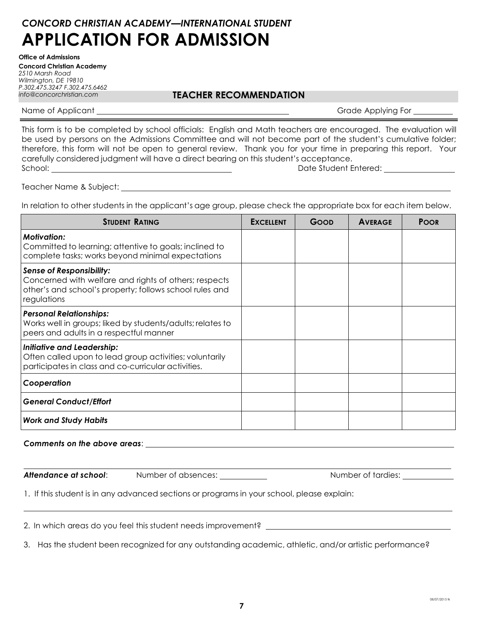**Office of Admissions Concord Christian Academy** *2510 Marsh Road Wilmington, DE 19810 P.302.475.3247 F.302.475.6462* 

### *info@concorchristian.com* **TEACHER RECOMMENDATION**

Name of Applicant Grade Applying For

This form is to be completed by school officials: English and Math teachers are encouraged. The evaluation will be used by persons on the Admissions Committee and will not become part of the student's cumulative folder; therefore, this form will not be open to general review. Thank you for your time in preparing this report. Your carefully considered judgment will have a direct bearing on this student's acceptance. School: Date Student Entered:

Teacher Name & Subject:

In relation to other students in the applicant's age group, please check the appropriate box for each item below.

| <b><i>STUDENT RATING</i></b>                                                                                                                                       | <b>EXCELLENT</b> | GOOD | <b>AVERAGE</b> | <b>POOR</b> |
|--------------------------------------------------------------------------------------------------------------------------------------------------------------------|------------------|------|----------------|-------------|
| <b>Motivation:</b><br>Committed to learning; attentive to goals; inclined to<br>complete tasks; works beyond minimal expectations                                  |                  |      |                |             |
| <b>Sense of Responsibility:</b><br>Concerned with welfare and rights of others; respects<br>other's and school's property; follows school rules and<br>regulations |                  |      |                |             |
| <b>Personal Relationships:</b><br>Works well in groups; liked by students/adults; relates to<br>peers and adults in a respectful manner                            |                  |      |                |             |
| <b>Initiative and Leadership:</b><br>Often called upon to lead group activities; voluntarily<br>participates in class and co-curricular activities.                |                  |      |                |             |
| Cooperation                                                                                                                                                        |                  |      |                |             |
| <b>General Conduct/Effort</b>                                                                                                                                      |                  |      |                |             |
| <b>Work and Study Habits</b>                                                                                                                                       |                  |      |                |             |

#### *Comments on the above areas*:

**Attendance at school:** Number of absences: Number of tardies: Number of tardies:

1. If this student is in any advanced sections or programs in your school, please explain:

2. In which areas do you feel this student needs improvement?

3. Has the student been recognized for any outstanding academic, athletic, and/or artistic performance?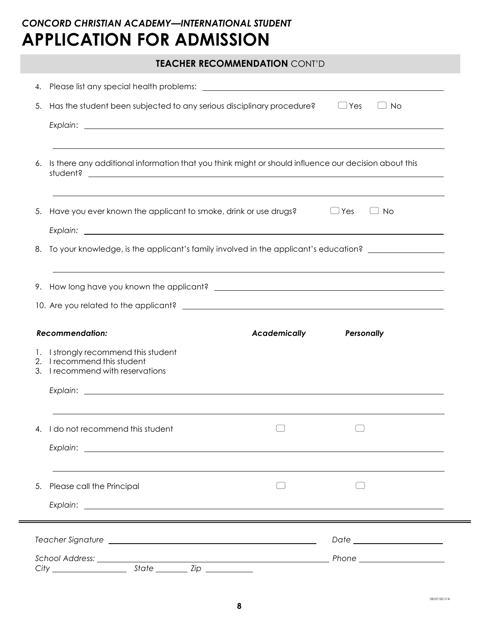|    | <b>TEACHER RECOMMENDATION CONT'D</b>                                                                    |                     |                         |  |
|----|---------------------------------------------------------------------------------------------------------|---------------------|-------------------------|--|
|    |                                                                                                         |                     |                         |  |
| 5. | Has the student been subjected to any serious disciplinary procedure?                                   |                     | $\Box$ Yes<br><b>No</b> |  |
| 6. | Is there any additional information that you think might or should influence our decision about this    |                     |                         |  |
| 5. | Have you ever known the applicant to smoke, drink or use drugs?<br>$\Box$ Yes<br>No                     |                     |                         |  |
| 8. | To your knowledge, is the applicant's family involved in the applicant's education?                     |                     |                         |  |
|    | <b>Recommendation:</b>                                                                                  | <b>Academically</b> | Personally              |  |
|    | 1. I strongly recommend this student<br>2. I recommend this student<br>3. I recommend with reservations |                     |                         |  |
|    |                                                                                                         |                     |                         |  |
| 4. | I do not recommend this student                                                                         |                     |                         |  |
| 5. | Please call the Principal                                                                               |                     |                         |  |
|    |                                                                                                         |                     |                         |  |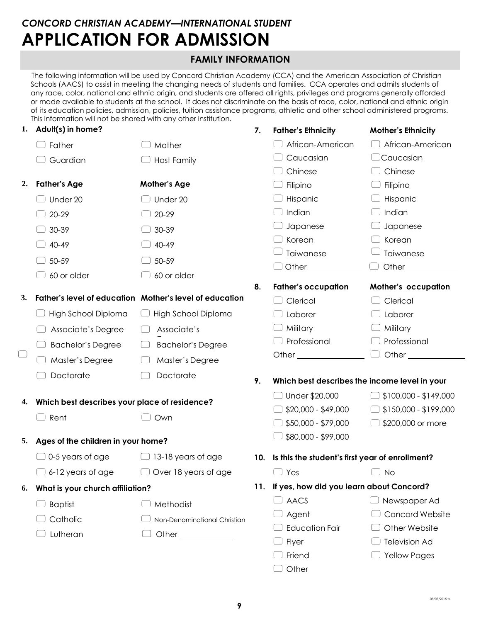### **FAMILY INFORMATION**

The following information will be used by Concord Christian Academy (CCA) and the American Association of Christian Schools (AACS) to assist in meeting the changing needs of students and families. CCA operates and admits students of any race, color, national and ethnic origin, and students are offered all rights, privileges and programs generally afforded or made available to students at the school. It does not discriminate on the basis of race, color, national and ethnic origin of its education policies, admission, policies, tuition assistance programs, athletic and other school administered programs. This information will not be shared with any other institution.

| 1. | Adult(s) in home?                             |                                                         | 7. | <b>Father's Ethnicity</b>                           | <b>Mother's Ethnicity</b> |
|----|-----------------------------------------------|---------------------------------------------------------|----|-----------------------------------------------------|---------------------------|
|    | Father                                        | Mother                                                  |    | African-American                                    | African-American          |
|    | Guardian                                      | <b>Host Family</b>                                      |    | Caucasian                                           | $\Box$ Caucasian          |
|    |                                               |                                                         |    | Chinese                                             | Chinese                   |
| 2. | <b>Father's Age</b>                           | <b>Mother's Age</b>                                     |    | Filipino                                            | Filipino                  |
|    | Under 20                                      | Under 20                                                |    | Hispanic                                            | Hispanic                  |
|    | 20-29                                         | 20-29                                                   |    | Indian                                              | Indian                    |
|    | 30-39                                         | 30-39                                                   |    | Japanese                                            | Japanese                  |
|    | 40-49                                         | 40-49                                                   |    | Korean                                              | Korean                    |
|    | 50-59                                         | 50-59                                                   |    | Taiwanese                                           | Taiwanese                 |
|    | 60 or older                                   | 60 or older                                             |    | Other <sub>200</sub>                                | Other                     |
|    |                                               |                                                         | 8. | <b>Father's occupation</b>                          | Mother's occupation       |
| 3. |                                               | Father's level of education Mother's level of education |    | Clerical                                            | Clerical                  |
|    | High School Diploma                           | High School Diploma                                     |    | Laborer                                             | Laborer                   |
|    | Associate's Degree                            | Associate's                                             |    | Military                                            | Military                  |
|    | <b>Bachelor's Degree</b>                      | <b>Bachelor's Degree</b>                                |    | Professional                                        | Professional              |
|    | Master's Degree                               | Master's Degree                                         |    | Other $\sqrt{ }$                                    | Other $\_$                |
|    | Doctorate                                     | Doctorate                                               | 9. | Which best describes the income level in your       |                           |
|    | Which best describes your place of residence? |                                                         |    | □ Under \$20,000                                    | $$100,000 - $149,000$     |
| 4. |                                               |                                                         |    | $$20,000 - $49,000$                                 | \$150,000 - \$199,000     |
|    | Rent                                          | Own                                                     |    | $$50,000 - $79,000$                                 | \$200,000 or more         |
| 5. | Ages of the children in your home?            |                                                         |    | \$80,000 - \$99,000                                 |                           |
|    | $\Box$ 0-5 years of age                       | $\Box$ 13-18 years of age                               |    | 10. Is this the student's first year of enrollment? |                           |
|    | 6-12 years of age                             | Over 18 years of age                                    |    | Yes                                                 | No.                       |
| 6. | What is your church affiliation?              |                                                         |    | 11. If yes, how did you learn about Concord?        |                           |
|    | <b>Baptist</b>                                | Methodist                                               |    | $\Box$ aacs                                         | Newspaper Ad              |
|    | Catholic                                      | Non-Denominational Christian                            |    | Agent                                               | <b>Concord Website</b>    |
|    | Lutheran                                      | Other _____________                                     |    | <b>Education Fair</b>                               | Other Website             |
|    |                                               |                                                         |    | Flyer                                               | <b>Television Ad</b>      |
|    |                                               |                                                         |    | Friend                                              | <b>Yellow Pages</b>       |
|    |                                               |                                                         |    | Other                                               |                           |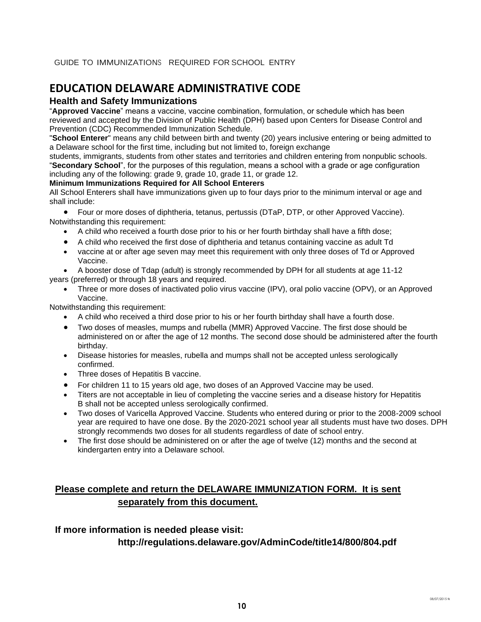### **EDUCATION DELAWARE ADMINISTRATIVE CODE**

#### **Health and Safety Immunizations**

"**Approved Vaccine**" means a vaccine, vaccine combination, formulation, or schedule which has been reviewed and accepted by the Division of Public Health (DPH) based upon Centers for Disease Control and Prevention (CDC) Recommended Immunization Schedule.

"**School Enterer**" means any child between birth and twenty (20) years inclusive entering or being admitted to a Delaware school for the first time, including but not limited to, foreign exchange

students, immigrants, students from other states and territories and children entering from nonpublic schools. "**Secondary School**", for the purposes of this regulation, means a school with a grade or age configuration including any of the following: grade 9, grade 10, grade 11, or grade 12.

#### **Minimum Immunizations Required for All School Enterers**

All School Enterers shall have immunizations given up to four days prior to the minimum interval or age and shall include:

• Four or more doses of diphtheria, tetanus, pertussis (DTaP, DTP, or other Approved Vaccine). Notwithstanding this requirement:

- A child who received a fourth dose prior to his or her fourth birthday shall have a fifth dose;
- A child who received the first dose of diphtheria and tetanus containing vaccine as adult Td
- vaccine at or after age seven may meet this requirement with only three doses of Td or Approved Vaccine.
- A booster dose of Tdap (adult) is strongly recommended by DPH for all students at age 11-12 years (preferred) or through 18 years and required.
	- Three or more doses of inactivated polio virus vaccine (IPV), oral polio vaccine (OPV), or an Approved Vaccine.

Notwithstanding this requirement:

- A child who received a third dose prior to his or her fourth birthday shall have a fourth dose.
- Two doses of measles, mumps and rubella (MMR) Approved Vaccine. The first dose should be administered on or after the age of 12 months. The second dose should be administered after the fourth birthday.
- Disease histories for measles, rubella and mumps shall not be accepted unless serologically confirmed.
- Three doses of Hepatitis B vaccine.
- For children 11 to 15 years old age, two doses of an Approved Vaccine may be used.
- Titers are not acceptable in lieu of completing the vaccine series and a disease history for Hepatitis B shall not be accepted unless serologically confirmed.
- Two doses of Varicella Approved Vaccine. Students who entered during or prior to the 2008-2009 school year are required to have one dose. By the 2020-2021 school year all students must have two doses. DPH strongly recommends two doses for all students regardless of date of school entry.
- The first dose should be administered on or after the age of twelve (12) months and the second at kindergarten entry into a Delaware school.

### **Please complete and return the DELAWARE IMMUNIZATION FORM. It is sent separately from this document.**

#### **If more information is needed please visit:**

#### **http://regulations.delaware.gov/AdminCode/title14/800/804.pdf**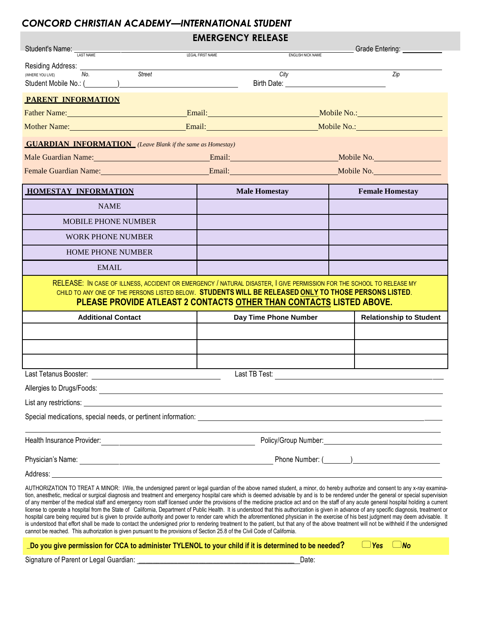### *CONCORD CHRISTIAN ACADEMY —INTERNATIONAL STUDENT*

### **EMERGENCY RELEASE**

|                                                                                                                            |        | NLNVLIIVI NLLLAJL                                                                                                                                                                                                                                                                                                                                                                                                                                                                                                                                                                                                                                                                                                                                                                                                                                                                                                                                                                                                                                                                                                                                       |  |                                |
|----------------------------------------------------------------------------------------------------------------------------|--------|---------------------------------------------------------------------------------------------------------------------------------------------------------------------------------------------------------------------------------------------------------------------------------------------------------------------------------------------------------------------------------------------------------------------------------------------------------------------------------------------------------------------------------------------------------------------------------------------------------------------------------------------------------------------------------------------------------------------------------------------------------------------------------------------------------------------------------------------------------------------------------------------------------------------------------------------------------------------------------------------------------------------------------------------------------------------------------------------------------------------------------------------------------|--|--------------------------------|
| Student's Name: <b>LAST NAME</b>                                                                                           |        | ENGLISH NICK NAME<br>LEGAL FIRST NAME                                                                                                                                                                                                                                                                                                                                                                                                                                                                                                                                                                                                                                                                                                                                                                                                                                                                                                                                                                                                                                                                                                                   |  |                                |
| Residing Address: _____<br>No.<br>(WHERE YOU LIVE)<br>Student Mobile No.: ()                                               | Street | City                                                                                                                                                                                                                                                                                                                                                                                                                                                                                                                                                                                                                                                                                                                                                                                                                                                                                                                                                                                                                                                                                                                                                    |  | Zip                            |
| PARENT INFORMATION                                                                                                         |        |                                                                                                                                                                                                                                                                                                                                                                                                                                                                                                                                                                                                                                                                                                                                                                                                                                                                                                                                                                                                                                                                                                                                                         |  |                                |
|                                                                                                                            |        | Father Name: <u>Name: Email: Email: Email: Nobile No.: Nobile No.:</u> Nobile No.: Nobile No.: Nobile No.: Nobile No.: Nobile No.: Nobile No.: Nobile No.: Nobile No.: Nobile No.: Nobile No.: Nobile No.: Nobile No.: Nobile No.:                                                                                                                                                                                                                                                                                                                                                                                                                                                                                                                                                                                                                                                                                                                                                                                                                                                                                                                      |  |                                |
|                                                                                                                            |        |                                                                                                                                                                                                                                                                                                                                                                                                                                                                                                                                                                                                                                                                                                                                                                                                                                                                                                                                                                                                                                                                                                                                                         |  |                                |
| <b>GUARDIAN INFORMATION</b> (Leave Blank if the same as Homestay)                                                          |        |                                                                                                                                                                                                                                                                                                                                                                                                                                                                                                                                                                                                                                                                                                                                                                                                                                                                                                                                                                                                                                                                                                                                                         |  |                                |
|                                                                                                                            |        |                                                                                                                                                                                                                                                                                                                                                                                                                                                                                                                                                                                                                                                                                                                                                                                                                                                                                                                                                                                                                                                                                                                                                         |  |                                |
|                                                                                                                            |        |                                                                                                                                                                                                                                                                                                                                                                                                                                                                                                                                                                                                                                                                                                                                                                                                                                                                                                                                                                                                                                                                                                                                                         |  |                                |
| <b>HOMESTAY INFORMATION</b>                                                                                                |        | <b>Male Homestay</b>                                                                                                                                                                                                                                                                                                                                                                                                                                                                                                                                                                                                                                                                                                                                                                                                                                                                                                                                                                                                                                                                                                                                    |  | <b>Female Homestay</b>         |
| <b>NAME</b>                                                                                                                |        |                                                                                                                                                                                                                                                                                                                                                                                                                                                                                                                                                                                                                                                                                                                                                                                                                                                                                                                                                                                                                                                                                                                                                         |  |                                |
| <b>MOBILE PHONE NUMBER</b>                                                                                                 |        |                                                                                                                                                                                                                                                                                                                                                                                                                                                                                                                                                                                                                                                                                                                                                                                                                                                                                                                                                                                                                                                                                                                                                         |  |                                |
| <b>WORK PHONE NUMBER</b>                                                                                                   |        |                                                                                                                                                                                                                                                                                                                                                                                                                                                                                                                                                                                                                                                                                                                                                                                                                                                                                                                                                                                                                                                                                                                                                         |  |                                |
| <b>HOME PHONE NUMBER</b>                                                                                                   |        |                                                                                                                                                                                                                                                                                                                                                                                                                                                                                                                                                                                                                                                                                                                                                                                                                                                                                                                                                                                                                                                                                                                                                         |  |                                |
| <b>EMAIL</b>                                                                                                               |        |                                                                                                                                                                                                                                                                                                                                                                                                                                                                                                                                                                                                                                                                                                                                                                                                                                                                                                                                                                                                                                                                                                                                                         |  |                                |
|                                                                                                                            |        | RELEASE: IN CASE OF ILLNESS, ACCIDENT OR EMERGENCY / NATURAL DISASTER, I GIVE PERMISSION FOR THE SCHOOL TO RELEASE MY<br>CHILD TO ANY ONE OF THE PERSONS LISTED BELOW. STUDENTS WILL BE RELEASED ONLY TO THOSE PERSONS LISTED.<br>PLEASE PROVIDE ATLEAST 2 CONTACTS OTHER THAN CONTACTS LISTED ABOVE.                                                                                                                                                                                                                                                                                                                                                                                                                                                                                                                                                                                                                                                                                                                                                                                                                                                   |  |                                |
| <b>Additional Contact</b>                                                                                                  |        | Day Time Phone Number                                                                                                                                                                                                                                                                                                                                                                                                                                                                                                                                                                                                                                                                                                                                                                                                                                                                                                                                                                                                                                                                                                                                   |  | <b>Relationship to Student</b> |
|                                                                                                                            |        |                                                                                                                                                                                                                                                                                                                                                                                                                                                                                                                                                                                                                                                                                                                                                                                                                                                                                                                                                                                                                                                                                                                                                         |  |                                |
|                                                                                                                            |        |                                                                                                                                                                                                                                                                                                                                                                                                                                                                                                                                                                                                                                                                                                                                                                                                                                                                                                                                                                                                                                                                                                                                                         |  |                                |
|                                                                                                                            |        |                                                                                                                                                                                                                                                                                                                                                                                                                                                                                                                                                                                                                                                                                                                                                                                                                                                                                                                                                                                                                                                                                                                                                         |  |                                |
| Last Tetanus Booster:                                                                                                      |        | Last TB Test:                                                                                                                                                                                                                                                                                                                                                                                                                                                                                                                                                                                                                                                                                                                                                                                                                                                                                                                                                                                                                                                                                                                                           |  |                                |
| Allergies to Drugs/Foods:                                                                                                  |        |                                                                                                                                                                                                                                                                                                                                                                                                                                                                                                                                                                                                                                                                                                                                                                                                                                                                                                                                                                                                                                                                                                                                                         |  |                                |
|                                                                                                                            |        |                                                                                                                                                                                                                                                                                                                                                                                                                                                                                                                                                                                                                                                                                                                                                                                                                                                                                                                                                                                                                                                                                                                                                         |  |                                |
|                                                                                                                            |        |                                                                                                                                                                                                                                                                                                                                                                                                                                                                                                                                                                                                                                                                                                                                                                                                                                                                                                                                                                                                                                                                                                                                                         |  |                                |
| Health Insurance Provider:                                                                                                 |        |                                                                                                                                                                                                                                                                                                                                                                                                                                                                                                                                                                                                                                                                                                                                                                                                                                                                                                                                                                                                                                                                                                                                                         |  |                                |
|                                                                                                                            |        |                                                                                                                                                                                                                                                                                                                                                                                                                                                                                                                                                                                                                                                                                                                                                                                                                                                                                                                                                                                                                                                                                                                                                         |  |                                |
|                                                                                                                            |        |                                                                                                                                                                                                                                                                                                                                                                                                                                                                                                                                                                                                                                                                                                                                                                                                                                                                                                                                                                                                                                                                                                                                                         |  |                                |
| cannot be reached. This authorization is given pursuant to the provisions of Section 25.8 of the Civil Code of California. |        | AUTHORIZATION TO TREAT A MINOR: I/We, the undersigned parent or legal guardian of the above named student, a minor, do hereby authorize and consent to any x-ray examina-<br>tion, anesthetic, medical or surgical diagnosis and treatment and emergency hospital care which is deemed advisable by and is to be rendered under the general or special supervision<br>of any member of the medical staff and emergency room staff licensed under the provisions of the medicine practice act and on the staff of any acute general hospital holding a current<br>license to operate a hospital from the State of California, Department of Public Health. It is understood that this authorization is given in advance of any specific diagnosis, treatment or<br>hospital care being required but is given to provide authority and power to render care which the aforementioned physician in the exercise of his best judgment may deem advisable. It<br>is understood that effort shall be made to contact the undersigned prior to rendering treatment to the patient, but that any of the above treatment will not be withheld if the undersigned |  |                                |
|                                                                                                                            |        | $\char`_\textit{Do}$ you give permission for CCA to administer TYLENOL to your child if it is determined to be needed?                                                                                                                                                                                                                                                                                                                                                                                                                                                                                                                                                                                                                                                                                                                                                                                                                                                                                                                                                                                                                                  |  | $\Box$ Yes<br>)No              |

Signature of Parent or Legal Guardian: \_\_\_\_\_\_\_\_\_\_\_\_\_\_\_\_\_\_\_\_\_\_\_\_\_\_\_\_\_\_\_\_\_\_\_\_\_\_\_\_\_\_\_\_ Date: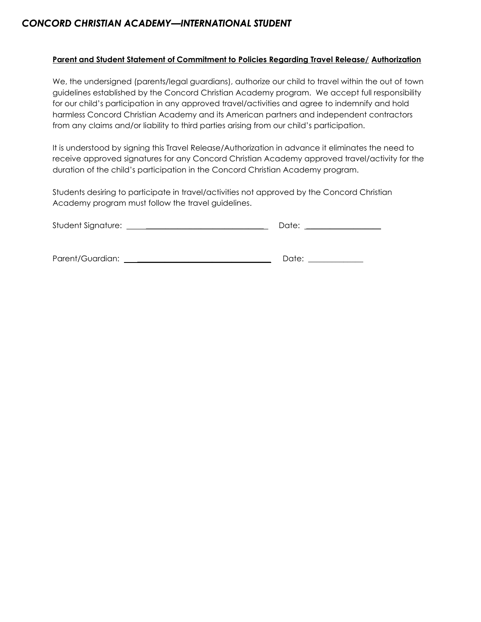### *CONCORD CHRISTIAN ACADEMY —INTERNATIONAL STUDENT*

#### **Parent and Student Statement of Commitment to Policies Regarding Travel Release/ Authorization**

We, the undersigned (parents/legal guardians), authorize our child to travel within the out of town guidelines established by the Concord Christian Academy program. We accept full responsibility for our child's participation in any approved travel/activities and agree to indemnify and hold harmless Concord Christian Academy and its American partners and independent contractors from any claims and/or liability to third parties arising from our child's participation.

It is understood by signing this Travel Release/Authorization in advance it eliminates the need to receive approved signatures for any Concord Christian Academy approved travel/activity for the duration of the child's participation in the Concord Christian Academy program.

Students desiring to participate in travel/activities not approved by the Concord Christian Academy program must follow the travel guidelines.

| Student Signature: | Date: |
|--------------------|-------|
|                    |       |
|                    |       |
|                    |       |

Parent/Guardian: \_\_\_\_\_\_\_\_\_\_\_\_\_\_\_\_\_\_\_\_\_\_\_\_\_\_\_\_\_\_\_\_\_\_ Date: \_\_\_\_\_\_\_\_\_\_\_\_\_\_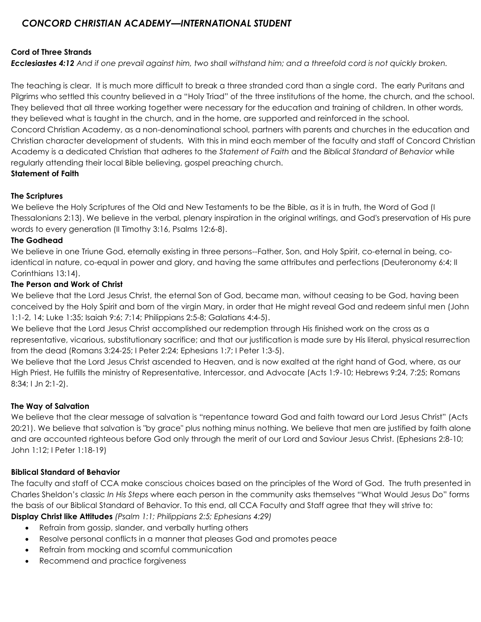### *CONCORD CHRISTIAN ACADEMY—INTERNATIONAL STUDENT*

### **Cord of Three Strands**

*Ecclesiastes 4:12 And if one prevail against him, two shall withstand him; and a threefold cord is not quickly broken.* 

The teaching is clear. It is much more difficult to break a three stranded cord than a single cord. The early Puritans and Pilgrims who settled this country believed in a "Holy Triad" of the three institutions of the home, the church, and the school. They believed that all three working together were necessary for the education and training of children. In other words, they believed what is taught in the church, and in the home, are supported and reinforced in the school. Concord Christian Academy, as a non-denominational school, partners with parents and churches in the education and Christian character development of students. With this in mind each member of the faculty and staff of Concord Christian Academy is a dedicated Christian that adheres to the *Statement of Faith* and the *Biblical Standard of Behavior* while regularly attending their local Bible believing, gospel preaching church. **Statement of Faith**

### **The Scriptures**

We believe the Holy Scriptures of the Old and New Testaments to be the Bible, as it is in truth, the Word of God (I Thessalonians 2:13). We believe in the verbal, plenary inspiration in the original writings, and God's preservation of His pure words to every generation (II Timothy 3:16, Psalms 12:6-8).

### **The Godhead**

We believe in one Triune God, eternally existing in three persons--Father, Son, and Holy Spirit, co-eternal in being, coidentical in nature, co-equal in power and glory, and having the same attributes and perfections (Deuteronomy 6:4; II Corinthians 13:14).

### **The Person and Work of Christ**

We believe that the Lord Jesus Christ, the eternal Son of God, became man, without ceasing to be God, having been conceived by the Holy Spirit and born of the virgin Mary, in order that He might reveal God and redeem sinful men (John 1:1-2, 14; Luke 1:35; Isaiah 9:6; 7:14; Philippians 2:5-8; Galatians 4:4-5).

We believe that the Lord Jesus Christ accomplished our redemption through His finished work on the cross as a representative, vicarious, substitutionary sacrifice; and that our justification is made sure by His literal, physical resurrection from the dead (Romans 3:24-25; I Peter 2:24; Ephesians 1:7; I Peter 1:3-5).

We believe that the Lord Jesus Christ ascended to Heaven, and is now exalted at the right hand of God, where, as our High Priest, He fulfills the ministry of Representative, Intercessor, and Advocate (Acts 1:9-10; Hebrews 9:24, 7:25; Romans 8:34; I Jn 2:1-2).

### **The Way of Salvation**

We believe that the clear message of salvation is "repentance toward God and faith toward our Lord Jesus Christ" (Acts 20:21). We believe that salvation is "by grace" plus nothing minus nothing. We believe that men are justified by faith alone and are accounted righteous before God only through the merit of our Lord and Saviour Jesus Christ. (Ephesians 2:8-10; John 1:12; I Peter 1:18-19)

### **Biblical Standard of Behavior**

The faculty and staff of CCA make conscious choices based on the principles of the Word of God. The truth presented in Charles Sheldon's classic *In His Steps* where each person in the community asks themselves "What Would Jesus Do" forms the basis of our Biblical Standard of Behavior. To this end, all CCA Faculty and Staff agree that they will strive to:

**Display Christ like Attitudes** *(Psalm 1:1; Philippians 2:5; Ephesians 4:29)*

- Refrain from gossip, slander, and verbally hurting others
- Resolve personal conflicts in a manner that pleases God and promotes peace
- Refrain from mocking and scornful communication
- Recommend and practice forgiveness